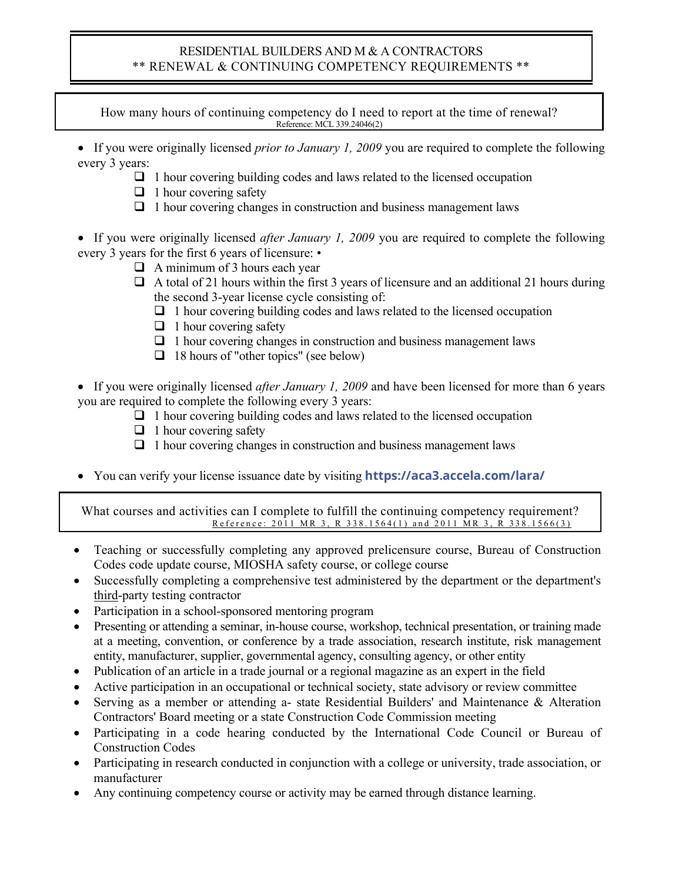# RESIDENTIAL BUILDERS AND M & A CONTRACTORS \*\* RENEWAL & CONTINUING COMPETENCY REQUIREMENTS \*\*

How many hours of continuing competency do I need to report at the time of renewal? Reference: MCL 339.24046(2)

• If you were originally licensed *prior to January 1, 2009* you are required to complete the following every 3 years:

- $\Box$  1 hour covering building codes and laws related to the licensed occupation
- $\Box$  1 hour covering safety
- $\Box$  1 hour covering changes in construction and business management laws

• If you were originally licensed *after January 1, 2009* you are required to complete the following every 3 years for the first 6 years of licensure: •

- $\Box$  A minimum of 3 hours each year
- $\Box$  A total of 21 hours within the first 3 years of licensure and an additional 21 hours during the second 3-year license cycle consisting of:
	- $\Box$  1 hour covering building codes and laws related to the licensed occupation
	- $\Box$  1 hour covering safety
	- $\Box$  1 hour covering changes in construction and business management laws
	- $\Box$  18 hours of "other topics" (see below)

• If you were originally licensed *after January 1, 2009* and have been licensed for more than 6 years you are required to complete the following every 3 years:

- $\Box$  1 hour covering building codes and laws related to the licensed occupation
- $\Box$  1 hour covering safety
- $\Box$  1 hour covering changes in construction and business management laws
- You can verify your license issuance date by visiting **<https://aca3.accela.com/lara/>**

What courses and activities can I complete to fulfill the continuing competency requirement? Reference: 2011 MR 3, R 338.1564(1) and 2011 MR 3, R 338.1566(3)

- Teaching or successfully completing any approved prelicensure course, Bureau of Construction Codes code update course, MIOSHA safety course, or college course
- Successfully completing a comprehensive test administered by the department or the department's third-party testing contractor
- Participation in a school-sponsored mentoring program
- Presenting or attending a seminar, in-house course, workshop, technical presentation, or training made at a meeting, convention, or conference by a trade association, research institute, risk management entity, manufacturer, supplier, governmental agency, consulting agency, or other entity
- Publication of an article in a trade journal or a regional magazine as an expert in the field
- Active participation in an occupational or technical society, state advisory or review committee
- Serving as a member or attending a- state Residential Builders' and Maintenance & Alteration Contractors' Board meeting or a state Construction Code Commission meeting
- Participating in a code hearing conducted by the International Code Council or Bureau of Construction Codes
- Participating in research conducted in conjunction with a college or university, trade association, or manufacturer
- Any continuing competency course or activity may be earned through distance learning.